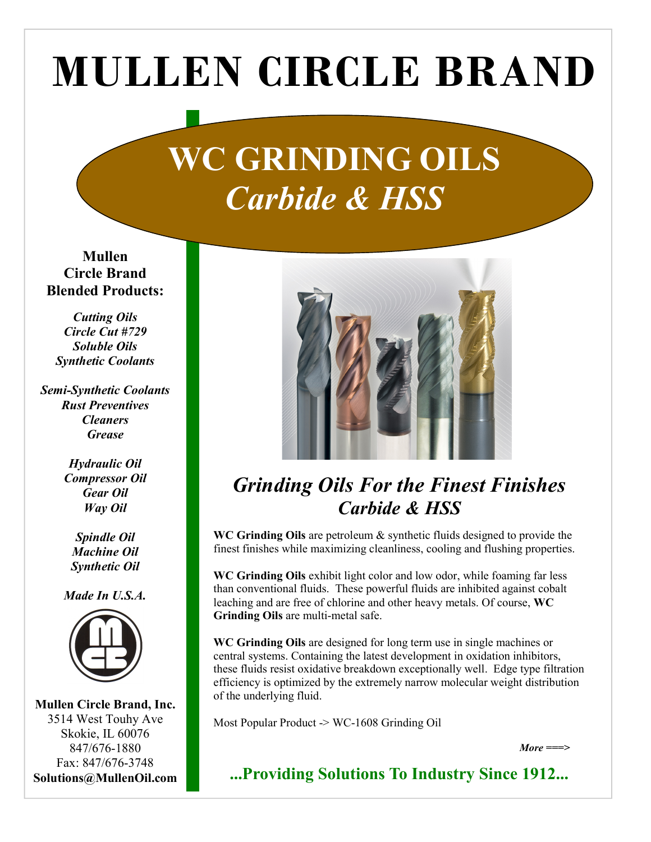## MULLEN CIRCLE BRAND

## WC GRINDING OILS Carbide & HSS

Mullen Circle Brand Blended Products:

Cutting Oils Circle Cut #729 Soluble Oils Synthetic Coolants

Semi-Synthetic Coolants Rust Preventives **Cleaners Grease** 

> Hydraulic Oil Compressor Oil Gear Oil Way Oil

Spindle Oil Machine Oil Synthetic Oil

Made In U.S.A.



Mullen Circle Brand, Inc. 3514 West Touhy Ave Skokie, IL 60076 847/676-1880 Fax: 847/676-3748 Solutions@MullenOil.com



## Grinding Oils For the Finest Finishes Carbide & HSS

WC Grinding Oils are petroleum & synthetic fluids designed to provide the finest finishes while maximizing cleanliness, cooling and flushing properties.

WC Grinding Oils exhibit light color and low odor, while foaming far less than conventional fluids. These powerful fluids are inhibited against cobalt leaching and are free of chlorine and other heavy metals. Of course, WC Grinding Oils are multi-metal safe.

WC Grinding Oils are designed for long term use in single machines or central systems. Containing the latest development in oxidation inhibitors, these fluids resist oxidative breakdown exceptionally well. Edge type filtration efficiency is optimized by the extremely narrow molecular weight distribution of the underlying fluid.

Most Popular Product -> WC-1608 Grinding Oil

 $More = = >$ 

...Providing Solutions To Industry Since 1912...